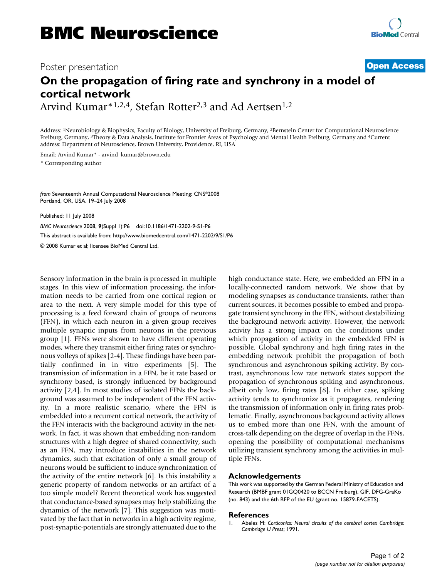## Poster presentation **Contract Contract Contract Contract Contract Contract Contract Contract Contract Contract Contract Contract Contract Contract Contract Contract Contract Contract Contract Contract Contract Contract Con**

## **On the propagation of firing rate and synchrony in a model of cortical network**

Arvind Kumar\*<sup>1,2,4</sup>, Stefan Rotter<sup>2,3</sup> and Ad Aertsen<sup>1,2</sup>

Address: 1Neurobiology & Biophysics, Faculty of Biology, University of Freiburg, Germany, 2Bernstein Center for Computational Neuroscience Freiburg, Germany, 3Theory & Data Analysis, Institute for Frontier Areas of Psychology and Mental Health Freiburg, Germany and 4Current address: Department of Neuroscience, Brown University, Providence, RI, USA

Email: Arvind Kumar\* - arvind\_kumar@brown.edu \* Corresponding author

*from* Seventeenth Annual Computational Neuroscience Meeting: CNS\*2008 Portland, OR, USA. 19–24 July 2008

Published: 11 July 2008

*BMC Neuroscience* 2008, **9**(Suppl 1):P6 doi:10.1186/1471-2202-9-S1-P6 [This abstract is available from: http://www.biomedcentral.com/1471-2202/9/S1/P6](http://www.biomedcentral.com/1471-2202/9/S1/P6) © 2008 Kumar et al; licensee BioMed Central Ltd.

Sensory information in the brain is processed in multiple stages. In this view of information processing, the information needs to be carried from one cortical region or area to the next. A very simple model for this type of processing is a feed forward chain of groups of neurons (FFN), in which each neuron in a given group receives multiple synaptic inputs from neurons in the previous group [1]. FFNs were shown to have different operating modes, where they transmit either firing rates or synchronous volleys of spikes [2-4]. These findings have been partially confirmed in in vitro experiments [5]. The transmission of information in a FFN, be it rate based or synchrony based, is strongly influenced by background activity [2,4]. In most studies of isolated FFNs the background was assumed to be independent of the FFN activity. In a more realistic scenario, where the FFN is embedded into a recurrent cortical network, the activity of the FFN interacts with the background activity in the network. In fact, it was shown that embedding non-random structures with a high degree of shared connectivity, such as an FFN, may introduce instabilities in the network dynamics, such that excitation of only a small group of neurons would be sufficient to induce synchronization of the activity of the entire network [6]. Is this instability a generic property of random networks or an artifact of a too simple model? Recent theoretical work has suggested that conductance-based synapses may help stabilizing the dynamics of the network [7]. This suggestion was motivated by the fact that in networks in a high activity regime, post-synaptic-potentials are strongly attenuated due to the high conductance state. Here, we embedded an FFN in a locally-connected random network. We show that by modeling synapses as conductance transients, rather than current sources, it becomes possible to embed and propagate transient synchrony in the FFN, without destabilizing the background network activity. However, the network activity has a strong impact on the conditions under which propagation of activity in the embedded FFN is possible. Global synchrony and high firing rates in the embedding network prohibit the propagation of both synchronous and asynchronous spiking activity. By contrast, asynchronous low rate network states support the propagation of synchronous spiking and asynchronous, albeit only low, firing rates [8]. In either case, spiking activity tends to synchronize as it propagates, rendering the transmission of information only in firing rates problematic. Finally, asynchronous background activity allows us to embed more than one FFN, with the amount of cross-talk depending on the degree of overlap in the FFNs, opening the possibility of computational mechanisms utilizing transient synchrony among the activities in multiple FFNs.

## **Acknowledgements**

This work was supported by the German Federal Ministry of Education and Research (BMBF grant 01GQ0420 to BCCN Freiburg), GIF, DFG-GraKo (no. 843) and the 6th RFP of the EU (grant no. 15879-FACETS).

## **References**

1. Abeles M: *Corticonics: Neural circuits of the cerebral cortex Cambridge: Cambridge U Press*; 1991.